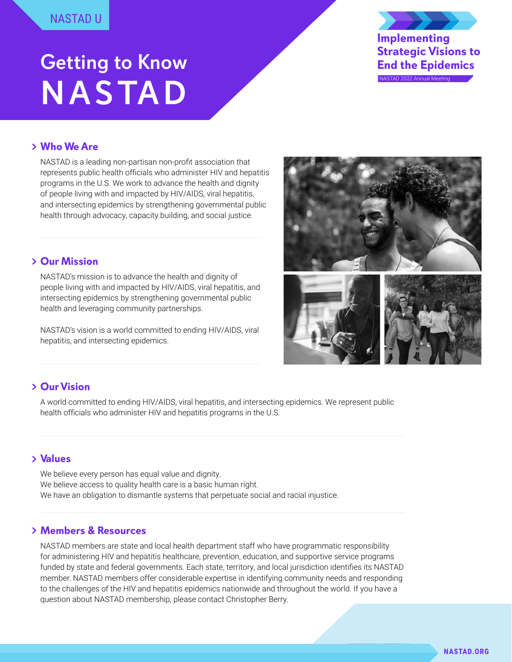# Getting to Know **NASTAD**

**Implementing Strategic Visions to End the Epidemics** NASTAD 2022 Annual Meeting

## **Who We Are**

NASTAD is a leading non-partisan non-profit association that represents public health officials who administer HIV and hepatitis programs in the U.S. We work to advance the health and dignity of people living with and impacted by HIV/AIDS, viral hepatitis, and intersecting epidemics by strengthening governmental public health through advocacy, capacity building, and social justice.

## **Our Mission**

NASTAD's mission is to advance the health and dignity of people living with and impacted by HIV/AIDS, viral hepatitis, and intersecting epidemics by strengthening governmental public health and leveraging community partnerships.

NASTAD's vision is a world committed to ending HIV/AIDS, viral hepatitis, and intersecting epidemics.



## **Our Vision**

A world committed to ending HIV/AIDS, viral hepatitis, and intersecting epidemics. We represent public health officials who administer HIV and hepatitis programs in the U.S.

## **Values**

We believe every person has equal value and dignity. We believe access to quality health care is a basic human right. We have an obligation to dismantle systems that perpetuate social and racial injustice.

## **Members & Resources**

NASTAD members are state and local health department staff who have programmatic responsibility for administering HIV and hepatitis healthcare, prevention, education, and supportive service programs funded by state and federal governments. Each state, territory, and local jurisdiction identifies its NASTAD member. NASTAD members offer considerable expertise in identifying community needs and responding to the challenges of the HIV and hepatitis epidemics nationwide and throughout the world. If you have a question about NASTAD membership, please contact Christopher Berry.